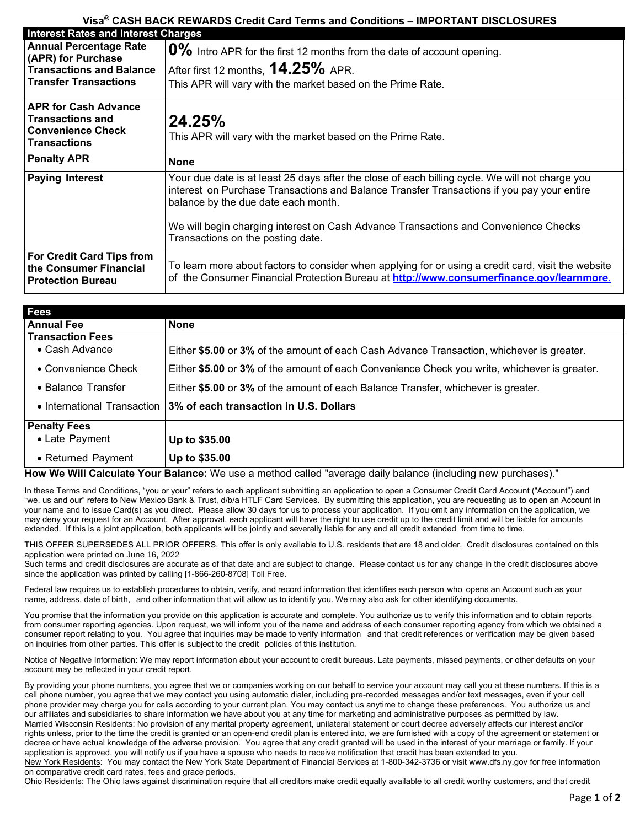## **Visa® CASH BACK REWARDS Credit Card Terms and Conditions – IMPORTANT DISCLOSURES**

| <b>Interest Rates and Interest Charges</b>                                                                             |                                                                                                                                                                                                                                      |  |
|------------------------------------------------------------------------------------------------------------------------|--------------------------------------------------------------------------------------------------------------------------------------------------------------------------------------------------------------------------------------|--|
| <b>Annual Percentage Rate</b><br>(APR) for Purchase<br><b>Transactions and Balance</b><br><b>Transfer Transactions</b> | 0% Intro APR for the first 12 months from the date of account opening.                                                                                                                                                               |  |
|                                                                                                                        | After first 12 months, 14.25% APR.                                                                                                                                                                                                   |  |
|                                                                                                                        | This APR will vary with the market based on the Prime Rate.                                                                                                                                                                          |  |
| <b>APR for Cash Advance</b><br><b>Transactions and</b><br><b>Convenience Check</b><br><b>Transactions</b>              | 24.25%<br>This APR will vary with the market based on the Prime Rate.                                                                                                                                                                |  |
| <b>Penalty APR</b>                                                                                                     | <b>None</b>                                                                                                                                                                                                                          |  |
| <b>Paying Interest</b>                                                                                                 | Your due date is at least 25 days after the close of each billing cycle. We will not charge you<br>interest on Purchase Transactions and Balance Transfer Transactions if you pay your entire<br>balance by the due date each month. |  |
|                                                                                                                        | We will begin charging interest on Cash Advance Transactions and Convenience Checks<br>Transactions on the posting date.                                                                                                             |  |
| <b>For Credit Card Tips from</b><br>the Consumer Financial<br><b>Protection Bureau</b>                                 | To learn more about factors to consider when applying for or using a credit card, visit the website<br>of the Consumer Financial Protection Bureau at http://www.consumerfinance.gov/learnmore.                                      |  |

| <b>Fees</b>                 |                                                                                              |
|-----------------------------|----------------------------------------------------------------------------------------------|
| <b>Annual Fee</b>           | <b>None</b>                                                                                  |
| <b>Transaction Fees</b>     |                                                                                              |
| • Cash Advance              | Either \$5.00 or 3% of the amount of each Cash Advance Transaction, whichever is greater.    |
| • Convenience Check         | Either \$5.00 or 3% of the amount of each Convenience Check you write, whichever is greater. |
| • Balance Transfer          | Either \$5.00 or 3% of the amount of each Balance Transfer, whichever is greater.            |
| • International Transaction | 3% of each transaction in U.S. Dollars                                                       |
| <b>Penalty Fees</b>         |                                                                                              |
| • Late Payment              | Up to \$35.00                                                                                |
| • Returned Payment          | Up to \$35.00                                                                                |

## **How We Will Calculate Your Balance:** We use a method called "average daily balance (including new purchases)."

In these Terms and Conditions, "you or your" refers to each applicant submitting an application to open a Consumer Credit Card Account ("Account") and "we, us and our" refers to New Mexico Bank & Trust, d/b/a HTLF Card Services. By submitting this application, you are requesting us to open an Account in your name and to issue Card(s) as you direct. Please allow 30 days for us to process your application. If you omit any information on the application, we may deny your request for an Account. After approval, each applicant will have the right to use credit up to the credit limit and will be liable for amounts extended. If this is a joint application, both applicants will be jointly and severally liable for any and all credit extended from time to time.

THIS OFFER SUPERSEDES ALL PRIOR OFFERS. This offer is only available to U.S. residents that are 18 and older. Credit disclosures contained on this application were printed on June 16, 2022

Such terms and credit disclosures are accurate as of that date and are subject to change. Please contact us for any change in the credit disclosures above since the application was printed by calling [1-866-260-8708] Toll Free.

Federal law requires us to establish procedures to obtain, verify, and record information that identifies each person who opens an Account such as your name, address, date of birth, and other information that will allow us to identify you. We may also ask for other identifying documents.

You promise that the information you provide on this application is accurate and complete. You authorize us to verify this information and to obtain reports from consumer reporting agencies. Upon request, we will inform you of the name and address of each consumer reporting agency from which we obtained a consumer report relating to you. You agree that inquiries may be made to verify information and that credit references or verification may be given based on inquiries from other parties. This offer is subject to the credit policies of this institution.

Notice of Negative Information: We may report information about your account to credit bureaus. Late payments, missed payments, or other defaults on your account may be reflected in your credit report.

By providing your phone numbers, you agree that we or companies working on our behalf to service your account may call you at these numbers. If this is a cell phone number, you agree that we may contact you using automatic dialer, including pre-recorded messages and/or text messages, even if your cell phone provider may charge you for calls according to your current plan. You may contact us anytime to change these preferences. You authorize us and our affiliates and subsidiaries to share information we have about you at any time for marketing and administrative purposes as permitted by law. Married Wisconsin Residents: No provision of any marital property agreement, unilateral statement or court decree adversely affects our interest and/or rights unless, prior to the time the credit is granted or an open-end credit plan is entered into, we are furnished with a copy of the agreement or statement or decree or have actual knowledge of the adverse provision. You agree that any credit granted will be used in the interest of your marriage or family. If your application is approved, you will notify us if you have a spouse who needs to receive notification that credit has been extended to you. New York Residents: You may contact the New York State Department of Financial Services at 1-800-342-3736 or visit www.dfs.ny.gov for free information on comparative credit card rates, fees and grace periods.

Ohio Residents: The Ohio laws against discrimination require that all creditors make credit equally available to all credit worthy customers, and that credit